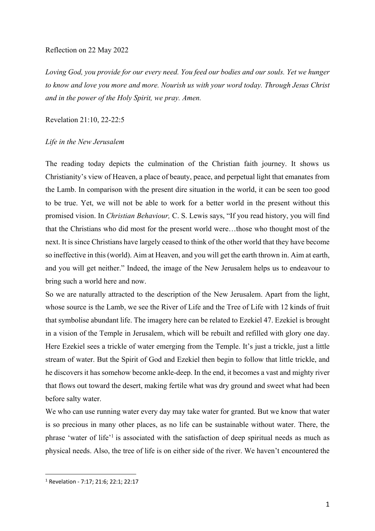## Reflection on 22 May 2022

*Loving God, you provide for our every need. You feed our bodies and our souls. Yet we hunger to know and love you more and more. Nourish us with your word today. Through Jesus Christ and in the power of the Holy Spirit, we pray. Amen.*

Revelation 21:10, 22-22:5

## *Life in the New Jerusalem*

The reading today depicts the culmination of the Christian faith journey. It shows us Christianity's view of Heaven, a place of beauty, peace, and perpetual light that emanates from the Lamb. In comparison with the present dire situation in the world, it can be seen too good to be true. Yet, we will not be able to work for a better world in the present without this promised vision. In *Christian Behaviour,* C. S. Lewis says, "If you read history, you will find that the Christians who did most for the present world were…those who thought most of the next. It is since Christians have largely ceased to think of the other world that they have become so ineffective in this (world). Aim at Heaven, and you will get the earth thrown in. Aim at earth, and you will get neither." Indeed, the image of the New Jerusalem helps us to endeavour to bring such a world here and now.

So we are naturally attracted to the description of the New Jerusalem. Apart from the light, whose source is the Lamb, we see the River of Life and the Tree of Life with 12 kinds of fruit that symbolise abundant life. The imagery here can be related to Ezekiel 47. Ezekiel is brought in a vision of the Temple in Jerusalem, which will be rebuilt and refilled with glory one day. Here Ezekiel sees a trickle of water emerging from the Temple. It's just a trickle, just a little stream of water. But the Spirit of God and Ezekiel then begin to follow that little trickle, and he discovers it has somehow become ankle-deep. In the end, it becomes a vast and mighty river that flows out toward the desert, making fertile what was dry ground and sweet what had been before salty water.

We who can use running water every day may take water for granted. But we know that water is so precious in many other places, as no life can be sustainable without water. There, the phrase 'water of life'<sup>1</sup> is associated with the satisfaction of deep spiritual needs as much as physical needs. Also, the tree of life is on either side of the river. We haven't encountered the

<sup>1</sup> Revelation - 7:17; 21:6; 22:1; 22:17